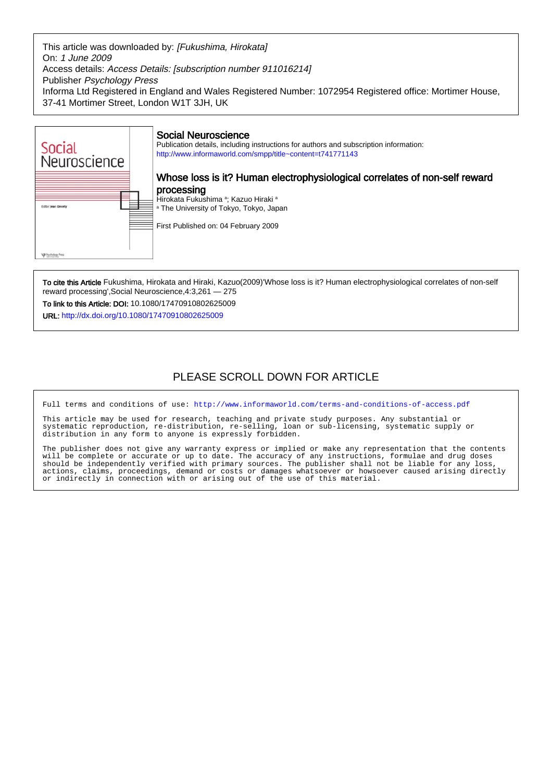This article was downloaded by: [Fukushima, Hirokata] On: 1 June 2009 Access details: Access Details: [subscription number 911016214] Publisher Psychology Press Informa Ltd Registered in England and Wales Registered Number: 1072954 Registered office: Mortimer House, 37-41 Mortimer Street, London W1T 3JH, UK



To cite this Article Fukushima, Hirokata and Hiraki, Kazuo(2009)'Whose loss is it? Human electrophysiological correlates of non-self reward processing',Social Neuroscience,4:3,261 — 275

To link to this Article: DOI: 10.1080/17470910802625009

URL: <http://dx.doi.org/10.1080/17470910802625009>

# PLEASE SCROLL DOWN FOR ARTICLE

Full terms and conditions of use:<http://www.informaworld.com/terms-and-conditions-of-access.pdf>

This article may be used for research, teaching and private study purposes. Any substantial or systematic reproduction, re-distribution, re-selling, loan or sub-licensing, systematic supply or distribution in any form to anyone is expressly forbidden.

The publisher does not give any warranty express or implied or make any representation that the contents will be complete or accurate or up to date. The accuracy of any instructions, formulae and drug doses should be independently verified with primary sources. The publisher shall not be liable for any loss, actions, claims, proceedings, demand or costs or damages whatsoever or howsoever caused arising directly or indirectly in connection with or arising out of the use of this material.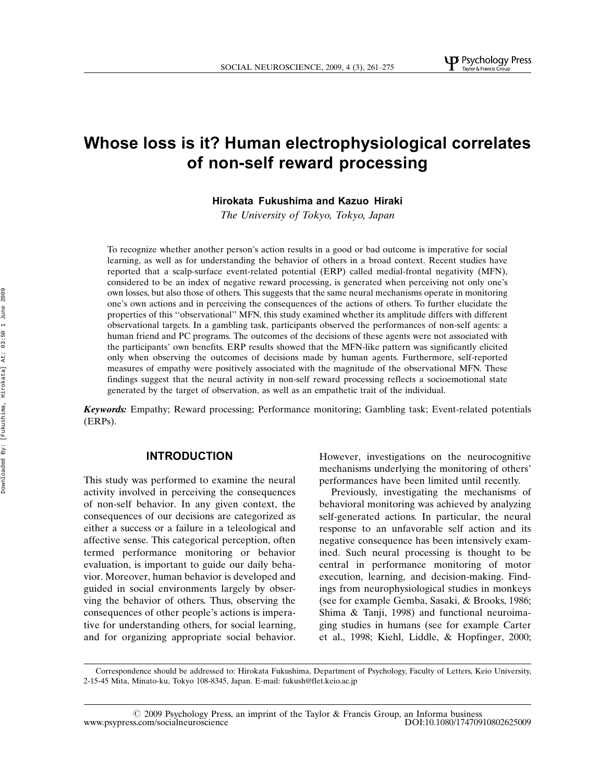# Whose loss is it? Human electrophysiological correlates of non-self reward processing

Hirokata Fukushima and Kazuo Hiraki

The University of Tokyo, Tokyo, Japan

To recognize whether another person's action results in a good or bad outcome is imperative for social learning, as well as for understanding the behavior of others in a broad context. Recent studies have reported that a scalp-surface event-related potential (ERP) called medial-frontal negativity (MFN), considered to be an index of negative reward processing, is generated when perceiving not only one's own losses, but also those of others. This suggests that the same neural mechanisms operate in monitoring one's own actions and in perceiving the consequences of the actions of others. To further elucidate the properties of this ''observational'' MFN, this study examined whether its amplitude differs with different observational targets. In a gambling task, participants observed the performances of non-self agents: a human friend and PC programs. The outcomes of the decisions of these agents were not associated with the participants' own benefits. ERP results showed that the MFN-like pattern was significantly elicited only when observing the outcomes of decisions made by human agents. Furthermore, self-reported measures of empathy were positively associated with the magnitude of the observational MFN. These findings suggest that the neural activity in non-self reward processing reflects a socioemotional state generated by the target of observation, as well as an empathetic trait of the individual.

**Keywords:** Empathy; Reward processing; Performance monitoring; Gambling task; Event-related potentials (ERPs).

# INTRODUCTION

This study was performed to examine the neural activity involved in perceiving the consequences of non-self behavior. In any given context, the consequences of our decisions are categorized as either a success or a failure in a teleological and affective sense. This categorical perception, often termed performance monitoring or behavior evaluation, is important to guide our daily behavior. Moreover, human behavior is developed and guided in social environments largely by observing the behavior of others. Thus, observing the consequences of other people's actions is imperative for understanding others, for social learning, and for organizing appropriate social behavior. However, investigations on the neurocognitive mechanisms underlying the monitoring of others' performances have been limited until recently.

Previously, investigating the mechanisms of behavioral monitoring was achieved by analyzing self-generated actions. In particular, the neural response to an unfavorable self action and its negative consequence has been intensively examined. Such neural processing is thought to be central in performance monitoring of motor execution, learning, and decision-making. Findings from neurophysiological studies in monkeys (see for example Gemba, Sasaki, & Brooks, 1986; Shima & Tanji, 1998) and functional neuroimaging studies in humans (see for example Carter et al., 1998; Kiehl, Liddle, & Hopfinger, 2000;

Correspondence should be addressed to: Hirokata Fukushima, Department of Psychology, Faculty of Letters, Keio University, 2-15-45 Mita, Minato-ku, Tokyo 108-8345, Japan. E-mail: fukush@flet.keio.ac.jp

<sup>© 2009</sup> Psychology Press, an imprint of the Taylor & Francis Group, an Informa business<br>s.com/socialneuroscience DOI:10.1080/17470910802625009 www.psypress.com/socialneuroscience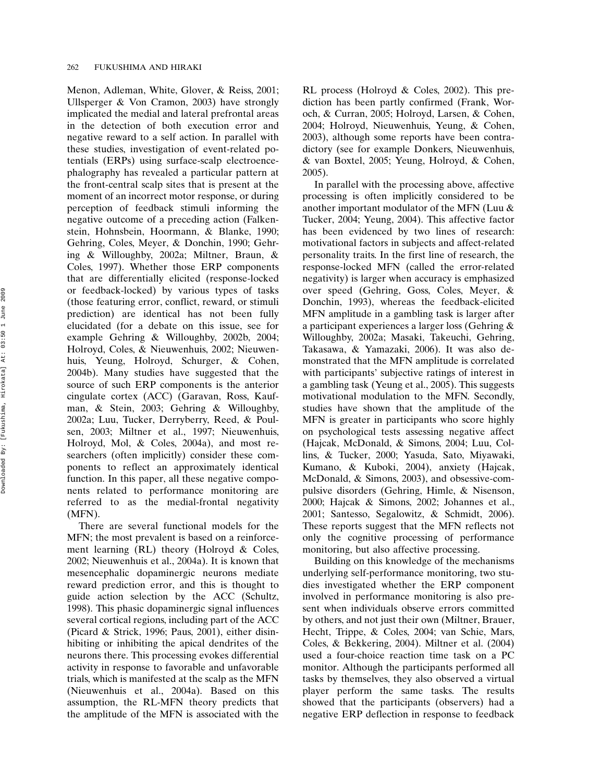Menon, Adleman, White, Glover, & Reiss, 2001; Ullsperger & Von Cramon, 2003) have strongly implicated the medial and lateral prefrontal areas in the detection of both execution error and negative reward to a self action. In parallel with these studies, investigation of event-related potentials (ERPs) using surface-scalp electroencephalography has revealed a particular pattern at the front-central scalp sites that is present at the moment of an incorrect motor response, or during perception of feedback stimuli informing the negative outcome of a preceding action (Falkenstein, Hohnsbein, Hoormann, & Blanke, 1990; Gehring, Coles, Meyer, & Donchin, 1990; Gehring & Willoughby, 2002a; Miltner, Braun, & Coles, 1997). Whether those ERP components that are differentially elicited (response-locked or feedback-locked) by various types of tasks (those featuring error, conflict, reward, or stimuli prediction) are identical has not been fully elucidated (for a debate on this issue, see for example Gehring & Willoughby, 2002b, 2004; Holroyd, Coles, & Nieuwenhuis, 2002; Nieuwenhuis, Yeung, Holroyd, Schurger, & Cohen, 2004b). Many studies have suggested that the source of such ERP components is the anterior cingulate cortex (ACC) (Garavan, Ross, Kaufman, & Stein, 2003; Gehring & Willoughby, 2002a; Luu, Tucker, Derryberry, Reed, & Poulsen, 2003; Miltner et al., 1997; Nieuwenhuis, Holroyd, Mol, & Coles, 2004a), and most researchers (often implicitly) consider these components to reflect an approximately identical function. In this paper, all these negative components related to performance monitoring are referred to as the medial-frontal negativity (MFN).

There are several functional models for the MFN; the most prevalent is based on a reinforcement learning (RL) theory (Holroyd & Coles, 2002; Nieuwenhuis et al., 2004a). It is known that mesencephalic dopaminergic neurons mediate reward prediction error, and this is thought to guide action selection by the ACC (Schultz, 1998). This phasic dopaminergic signal influences several cortical regions, including part of the ACC (Picard & Strick, 1996; Paus, 2001), either disinhibiting or inhibiting the apical dendrites of the neurons there. This processing evokes differential activity in response to favorable and unfavorable trials, which is manifested at the scalp as the MFN (Nieuwenhuis et al., 2004a). Based on this assumption, the RL-MFN theory predicts that the amplitude of the MFN is associated with the RL process (Holroyd & Coles, 2002). This prediction has been partly confirmed (Frank, Woroch, & Curran, 2005; Holroyd, Larsen, & Cohen, 2004; Holroyd, Nieuwenhuis, Yeung, & Cohen, 2003), although some reports have been contradictory (see for example Donkers, Nieuwenhuis, & van Boxtel, 2005; Yeung, Holroyd, & Cohen, 2005).

In parallel with the processing above, affective processing is often implicitly considered to be another important modulator of the MFN (Luu & Tucker, 2004; Yeung, 2004). This affective factor has been evidenced by two lines of research: motivational factors in subjects and affect-related personality traits. In the first line of research, the response-locked MFN (called the error-related negativity) is larger when accuracy is emphasized over speed (Gehring, Goss, Coles, Meyer, & Donchin, 1993), whereas the feedback-elicited MFN amplitude in a gambling task is larger after a participant experiences a larger loss (Gehring & Willoughby, 2002a; Masaki, Takeuchi, Gehring, Takasawa, & Yamazaki, 2006). It was also demonstrated that the MFN amplitude is correlated with participants' subjective ratings of interest in a gambling task (Yeung et al., 2005). This suggests motivational modulation to the MFN. Secondly, studies have shown that the amplitude of the MFN is greater in participants who score highly on psychological tests assessing negative affect (Hajcak, McDonald, & Simons, 2004; Luu, Collins, & Tucker, 2000; Yasuda, Sato, Miyawaki, Kumano, & Kuboki, 2004), anxiety (Hajcak, McDonald, & Simons, 2003), and obsessive-compulsive disorders (Gehring, Himle, & Nisenson, 2000; Hajcak & Simons, 2002; Johannes et al., 2001; Santesso, Segalowitz, & Schmidt, 2006). These reports suggest that the MFN reflects not only the cognitive processing of performance monitoring, but also affective processing.

Building on this knowledge of the mechanisms underlying self-performance monitoring, two studies investigated whether the ERP component involved in performance monitoring is also present when individuals observe errors committed by others, and not just their own (Miltner, Brauer, Hecht, Trippe, & Coles, 2004; van Schie, Mars, Coles, & Bekkering, 2004). Miltner et al. (2004) used a four-choice reaction time task on a PC monitor. Although the participants performed all tasks by themselves, they also observed a virtual player perform the same tasks. The results showed that the participants (observers) had a negative ERP deflection in response to feedback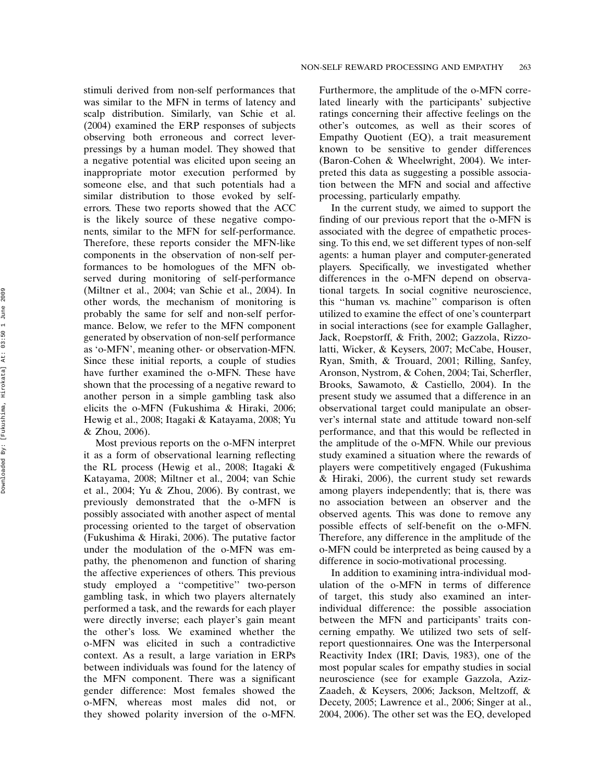stimuli derived from non-self performances that was similar to the MFN in terms of latency and scalp distribution. Similarly, van Schie et al. (2004) examined the ERP responses of subjects observing both erroneous and correct leverpressings by a human model. They showed that a negative potential was elicited upon seeing an inappropriate motor execution performed by someone else, and that such potentials had a similar distribution to those evoked by selferrors. These two reports showed that the ACC is the likely source of these negative components, similar to the MFN for self-performance. Therefore, these reports consider the MFN-like components in the observation of non-self performances to be homologues of the MFN observed during monitoring of self-performance (Miltner et al., 2004; van Schie et al., 2004). In other words, the mechanism of monitoring is probably the same for self and non-self performance. Below, we refer to the MFN component generated by observation of non-self performance as 'o-MFN', meaning other- or observation-MFN. Since these initial reports, a couple of studies have further examined the o-MFN. These have shown that the processing of a negative reward to another person in a simple gambling task also elicits the o-MFN (Fukushima & Hiraki, 2006; Hewig et al., 2008; Itagaki & Katayama, 2008; Yu & Zhou, 2006).

Most previous reports on the o-MFN interpret it as a form of observational learning reflecting the RL process (Hewig et al., 2008; Itagaki & Katayama, 2008; Miltner et al., 2004; van Schie et al., 2004; Yu & Zhou, 2006). By contrast, we previously demonstrated that the o-MFN is possibly associated with another aspect of mental processing oriented to the target of observation (Fukushima & Hiraki, 2006). The putative factor under the modulation of the o-MFN was empathy, the phenomenon and function of sharing the affective experiences of others. This previous study employed a ''competitive'' two-person gambling task, in which two players alternately performed a task, and the rewards for each player were directly inverse; each player's gain meant the other's loss. We examined whether the o-MFN was elicited in such a contradictive context. As a result, a large variation in ERPs between individuals was found for the latency of the MFN component. There was a significant gender difference: Most females showed the o-MFN, whereas most males did not, or they showed polarity inversion of the o-MFN.

Furthermore, the amplitude of the o-MFN correlated linearly with the participants' subjective ratings concerning their affective feelings on the other's outcomes, as well as their scores of Empathy Quotient (EQ), a trait measurement known to be sensitive to gender differences (Baron-Cohen & Wheelwright, 2004). We interpreted this data as suggesting a possible association between the MFN and social and affective processing, particularly empathy.

In the current study, we aimed to support the finding of our previous report that the o-MFN is associated with the degree of empathetic processing. To this end, we set different types of non-self agents: a human player and computer-generated players. Specifically, we investigated whether differences in the o-MFN depend on observational targets. In social cognitive neuroscience, this ''human vs. machine'' comparison is often utilized to examine the effect of one's counterpart in social interactions (see for example Gallagher, Jack, Roepstorff, & Frith, 2002; Gazzola, Rizzolatti, Wicker, & Keysers, 2007; McCabe, Houser, Ryan, Smith, & Trouard, 2001; Rilling, Sanfey, Aronson, Nystrom, & Cohen, 2004; Tai, Scherfler, Brooks, Sawamoto, & Castiello, 2004). In the present study we assumed that a difference in an observational target could manipulate an observer's internal state and attitude toward non-self performance, and that this would be reflected in the amplitude of the o-MFN. While our previous study examined a situation where the rewards of players were competitively engaged (Fukushima & Hiraki, 2006), the current study set rewards among players independently; that is, there was no association between an observer and the observed agents. This was done to remove any possible effects of self-benefit on the o-MFN. Therefore, any difference in the amplitude of the o-MFN could be interpreted as being caused by a difference in socio-motivational processing.

In addition to examining intra-individual modulation of the o-MFN in terms of difference of target, this study also examined an interindividual difference: the possible association between the MFN and participants' traits concerning empathy. We utilized two sets of selfreport questionnaires. One was the Interpersonal Reactivity Index (IRI; Davis, 1983), one of the most popular scales for empathy studies in social neuroscience (see for example Gazzola, Aziz-Zaadeh, & Keysers, 2006; Jackson, Meltzoff, & Decety, 2005; Lawrence et al., 2006; Singer at al., 2004, 2006). The other set was the EQ, developed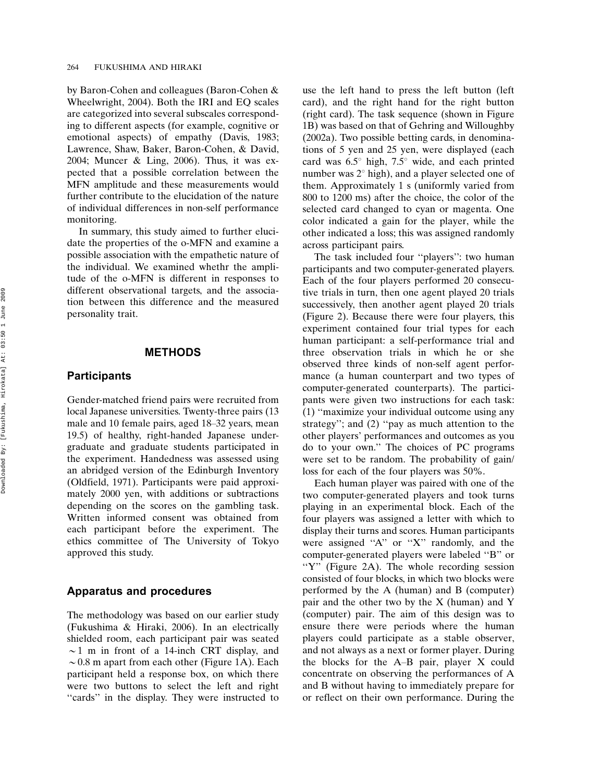by Baron-Cohen and colleagues (Baron-Cohen & Wheelwright, 2004). Both the IRI and EQ scales are categorized into several subscales corresponding to different aspects (for example, cognitive or emotional aspects) of empathy (Davis, 1983; Lawrence, Shaw, Baker, Baron-Cohen, & David, 2004; Muncer & Ling, 2006). Thus, it was expected that a possible correlation between the MFN amplitude and these measurements would further contribute to the elucidation of the nature of individual differences in non-self performance monitoring.

In summary, this study aimed to further elucidate the properties of the o-MFN and examine a possible association with the empathetic nature of the individual. We examined whethr the amplitude of the o-MFN is different in responses to different observational targets, and the association between this difference and the measured personality trait.

#### METHODS

# **Participants**

Gender-matched friend pairs were recruited from local Japanese universities. Twenty-three pairs (13 male and 10 female pairs, aged 18–32 years, mean 19.5) of healthy, right-handed Japanese undergraduate and graduate students participated in the experiment. Handedness was assessed using an abridged version of the Edinburgh Inventory (Oldfield, 1971). Participants were paid approximately 2000 yen, with additions or subtractions depending on the scores on the gambling task. Written informed consent was obtained from each participant before the experiment. The ethics committee of The University of Tokyo approved this study.

#### Apparatus and procedures

The methodology was based on our earlier study (Fukushima & Hiraki, 2006). In an electrically shielded room, each participant pair was seated  $\sim$ 1 m in front of a 14-inch CRT display, and  $\sim$  0.8 m apart from each other (Figure 1A). Each participant held a response box, on which there were two buttons to select the left and right ''cards'' in the display. They were instructed to use the left hand to press the left button (left card), and the right hand for the right button (right card). The task sequence (shown in Figure 1B) was based on that of Gehring and Willoughby (2002a). Two possible betting cards, in denominations of 5 yen and 25 yen, were displayed (each card was  $6.5^{\circ}$  high,  $7.5^{\circ}$  wide, and each printed number was  $2^{\circ}$  high), and a player selected one of them. Approximately 1 s (uniformly varied from 800 to 1200 ms) after the choice, the color of the selected card changed to cyan or magenta. One color indicated a gain for the player, while the other indicated a loss; this was assigned randomly across participant pairs.

The task included four ''players'': two human participants and two computer-generated players. Each of the four players performed 20 consecutive trials in turn, then one agent played 20 trials successively, then another agent played 20 trials (Figure 2). Because there were four players, this experiment contained four trial types for each human participant: a self-performance trial and three observation trials in which he or she observed three kinds of non-self agent performance (a human counterpart and two types of computer-generated counterparts). The participants were given two instructions for each task: (1) ''maximize your individual outcome using any strategy''; and (2) ''pay as much attention to the other players' performances and outcomes as you do to your own.'' The choices of PC programs were set to be random. The probability of gain/ loss for each of the four players was 50%.

Each human player was paired with one of the two computer-generated players and took turns playing in an experimental block. Each of the four players was assigned a letter with which to display their turns and scores. Human participants were assigned "A" or "X" randomly, and the computer-generated players were labeled ''B'' or ''Y'' (Figure 2A). The whole recording session consisted of four blocks, in which two blocks were performed by the A (human) and B (computer) pair and the other two by the X (human) and Y (computer) pair. The aim of this design was to ensure there were periods where the human players could participate as a stable observer, and not always as a next or former player. During the blocks for the  $A-B$  pair, player X could concentrate on observing the performances of A and B without having to immediately prepare for or reflect on their own performance. During the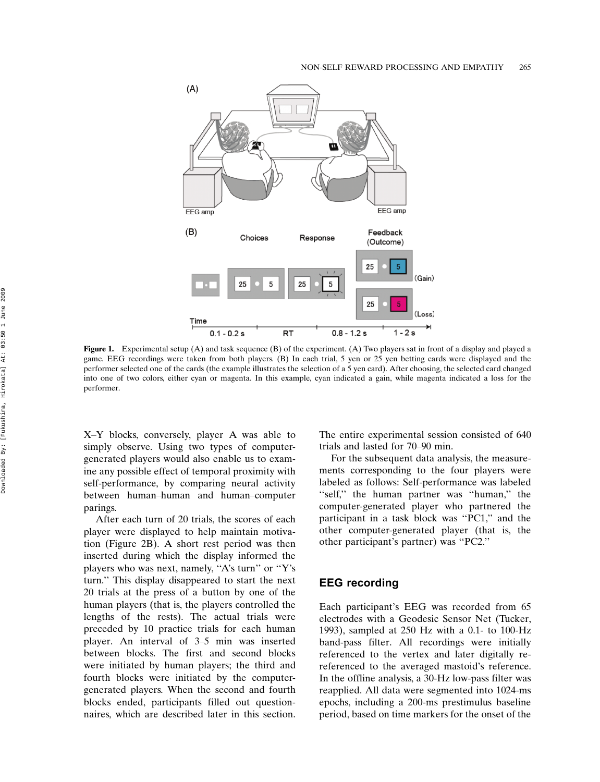

Figure 1. Experimental setup  $(A)$  and task sequence  $(B)$  of the experiment.  $(A)$  Two players sat in front of a display and played a game. EEG recordings were taken from both players. (B) In each trial, 5 yen or 25 yen betting cards were displayed and the performer selected one of the cards (the example illustrates the selection of a 5 yen card). After choosing, the selected card changed into one of two colors, either cyan or magenta. In this example, cyan indicated a gain, while magenta indicated a loss for the performer.

 $X-Y$  blocks, conversely, player A was able to simply observe. Using two types of computergenerated players would also enable us to examine any possible effect of temporal proximity with self-performance, by comparing neural activity between human-human and human-computer parings.

After each turn of 20 trials, the scores of each player were displayed to help maintain motivation (Figure 2B). A short rest period was then inserted during which the display informed the players who was next, namely, ''A's turn'' or ''Y's turn.'' This display disappeared to start the next 20 trials at the press of a button by one of the human players (that is, the players controlled the lengths of the rests). The actual trials were preceded by 10 practice trials for each human player. An interval of 3–5 min was inserted between blocks. The first and second blocks were initiated by human players; the third and fourth blocks were initiated by the computergenerated players. When the second and fourth blocks ended, participants filled out questionnaires, which are described later in this section. The entire experimental session consisted of 640 trials and lasted for 70–90 min.

For the subsequent data analysis, the measurements corresponding to the four players were labeled as follows: Self-performance was labeled "self," the human partner was "human," the computer-generated player who partnered the participant in a task block was ''PC1,'' and the other computer-generated player (that is, the other participant's partner) was ''PC2.''

# EEG recording

Each participant's EEG was recorded from 65 electrodes with a Geodesic Sensor Net (Tucker, 1993), sampled at 250 Hz with a 0.1- to 100-Hz band-pass filter. All recordings were initially referenced to the vertex and later digitally rereferenced to the averaged mastoid's reference. In the offline analysis, a 30-Hz low-pass filter was reapplied. All data were segmented into 1024-ms epochs, including a 200-ms prestimulus baseline period, based on time markers for the onset of the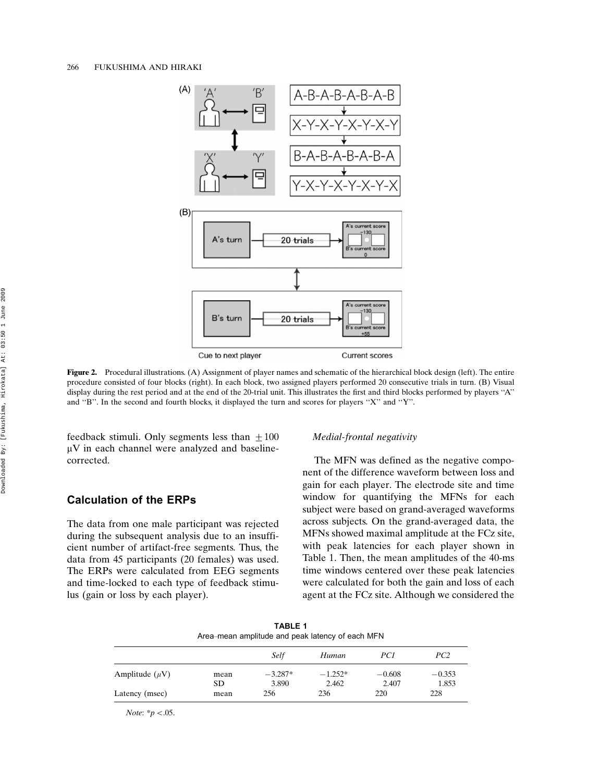

Figure 2. Procedural illustrations. (A) Assignment of player names and schematic of the hierarchical block design (left). The entire procedure consisted of four blocks (right). In each block, two assigned players performed 20 consecutive trials in turn. (B) Visual display during the rest period and at the end of the 20-trial unit. This illustrates the first and third blocks performed by players "A" and "B". In the second and fourth blocks, it displayed the turn and scores for players "X" and "Y".

feedback stimuli. Only segments less than  $\pm 100$  $\mu$ V in each channel were analyzed and baselinecorrected.

# Calculation of the ERPs

The data from one male participant was rejected during the subsequent analysis due to an insufficient number of artifact-free segments. Thus, the data from 45 participants (20 females) was used. The ERPs were calculated from EEG segments and time-locked to each type of feedback stimulus (gain or loss by each player).

#### Medial-frontal negativity

The MFN was defined as the negative component of the difference waveform between loss and gain for each player. The electrode site and time window for quantifying the MFNs for each subject were based on grand-averaged waveforms across subjects. On the grand-averaged data, the MFNs showed maximal amplitude at the FCz site, with peak latencies for each player shown in Table 1. Then, the mean amplitudes of the 40-ms time windows centered over these peak latencies were calculated for both the gain and loss of each agent at the FCz site. Although we considered the

| <b>TABLE 1</b><br>Area–mean amplitude and peak latency of each MFN |            |                    |                    |                   |                   |  |  |  |
|--------------------------------------------------------------------|------------|--------------------|--------------------|-------------------|-------------------|--|--|--|
|                                                                    |            | Self               | Human              | PC1               | PC <sub>2</sub>   |  |  |  |
| Amplitude $(\mu V)$                                                | mean<br>SD | $-3.287*$<br>3.890 | $-1.252*$<br>2.462 | $-0.608$<br>2.407 | $-0.353$<br>1.853 |  |  |  |
| Latency (msec)                                                     | mean       | 256                | 236                | 220               | 228               |  |  |  |

Note:  $* p < .05$ .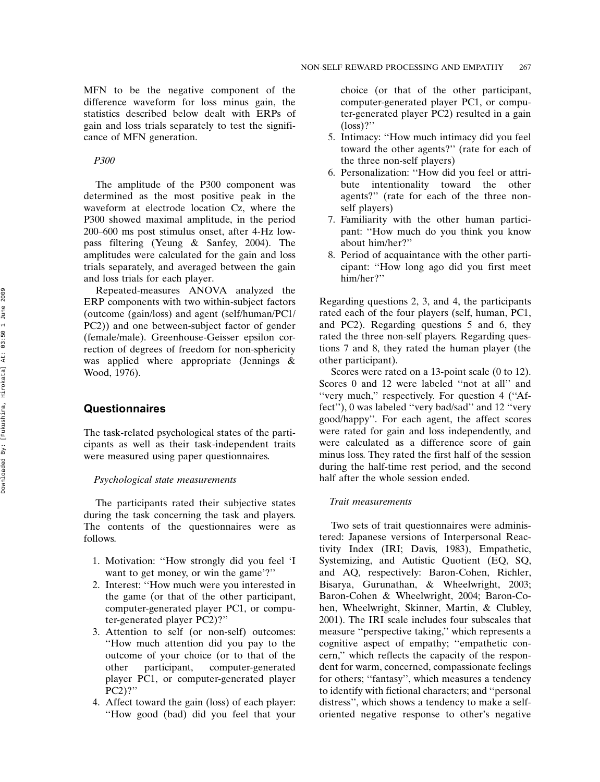MFN to be the negative component of the difference waveform for loss minus gain, the statistics described below dealt with ERPs of gain and loss trials separately to test the significance of MFN generation.

#### P300

The amplitude of the P300 component was determined as the most positive peak in the waveform at electrode location Cz, where the P300 showed maximal amplitude, in the period 200–600 ms post stimulus onset, after 4-Hz lowpass filtering (Yeung & Sanfey, 2004). The amplitudes were calculated for the gain and loss trials separately, and averaged between the gain and loss trials for each player.

Repeated-measures ANOVA analyzed the ERP components with two within-subject factors (outcome (gain/loss) and agent (self/human/PC1/ PC2)) and one between-subject factor of gender (female/male). Greenhouse-Geisser epsilon correction of degrees of freedom for non-sphericity was applied where appropriate (Jennings & Wood, 1976).

#### Questionnaires

The task-related psychological states of the participants as well as their task-independent traits were measured using paper questionnaires.

#### Psychological state measurements

The participants rated their subjective states during the task concerning the task and players. The contents of the questionnaires were as follows.

- 1. Motivation: ''How strongly did you feel 'I want to get money, or win the game'?''
- 2. Interest: ''How much were you interested in the game (or that of the other participant, computer-generated player PC1, or computer-generated player PC2)?''
- 3. Attention to self (or non-self) outcomes: ''How much attention did you pay to the outcome of your choice (or to that of the other participant, computer-generated player PC1, or computer-generated player PC2)?''
- 4. Affect toward the gain (loss) of each player: ''How good (bad) did you feel that your

choice (or that of the other participant, computer-generated player PC1, or computer-generated player PC2) resulted in a gain (loss)?''

- 5. Intimacy: ''How much intimacy did you feel toward the other agents?'' (rate for each of the three non-self players)
- 6. Personalization: ''How did you feel or attribute intentionality toward the other agents?'' (rate for each of the three nonself players)
- 7. Familiarity with the other human participant: ''How much do you think you know about him/her?''
- 8. Period of acquaintance with the other participant: ''How long ago did you first meet him/her?''

Regarding questions 2, 3, and 4, the participants rated each of the four players (self, human, PC1, and PC2). Regarding questions 5 and 6, they rated the three non-self players. Regarding questions 7 and 8, they rated the human player (the other participant).

Scores were rated on a 13-point scale (0 to 12). Scores 0 and 12 were labeled ''not at all'' and ''very much,'' respectively. For question 4 (''Affect''), 0 was labeled ''very bad/sad'' and 12 ''very good/happy''. For each agent, the affect scores were rated for gain and loss independently, and were calculated as a difference score of gain minus loss. They rated the first half of the session during the half-time rest period, and the second half after the whole session ended.

## Trait measurements

Two sets of trait questionnaires were administered: Japanese versions of Interpersonal Reactivity Index (IRI; Davis, 1983), Empathetic, Systemizing, and Autistic Quotient (EQ, SQ, and AQ, respectively: Baron-Cohen, Richler, Bisarya, Gurunathan, & Wheelwright, 2003; Baron-Cohen & Wheelwright, 2004; Baron-Cohen, Wheelwright, Skinner, Martin, & Clubley, 2001). The IRI scale includes four subscales that measure ''perspective taking,'' which represents a cognitive aspect of empathy; ''empathetic concern,'' which reflects the capacity of the respondent for warm, concerned, compassionate feelings for others; ''fantasy'', which measures a tendency to identify with fictional characters; and ''personal distress'', which shows a tendency to make a selforiented negative response to other's negative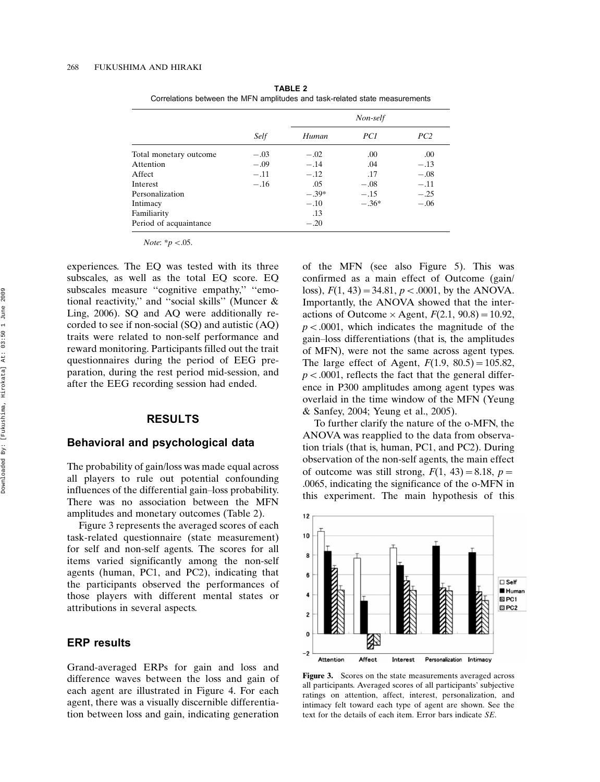|                        |        |         | Non-self |                 |
|------------------------|--------|---------|----------|-----------------|
|                        | Self   | Human   | PC1      | PC <sub>2</sub> |
| Total monetary outcome | $-.03$ | $-.02$  | .00      | .00             |
| Attention              | $-.09$ | $-.14$  | .04      | $-.13$          |
| Affect                 | $-.11$ | $-.12$  | .17      | $-.08$          |
| Interest               | $-.16$ | .05     | $-.08$   | $-.11$          |
| Personalization        |        | $-.39*$ | $-.15$   | $-.25$          |
| Intimacy               |        | $-.10$  | $-.36*$  | $-.06$          |
| Familiarity            |        | .13     |          |                 |
| Period of acquaintance |        | $-.20$  |          |                 |

TABLE<sub>2</sub> Correlations between the MFN amplitudes and task-related state measurements

Note:  $*_{p}$  < 05.

experiences. The EQ was tested with its three subscales, as well as the total EQ score. EQ subscales measure "cognitive empathy," "emotional reactivity,'' and ''social skills'' (Muncer & Ling, 2006). SQ and AQ were additionally recorded to see if non-social (SQ) and autistic (AQ) traits were related to non-self performance and reward monitoring. Participants filled out the trait questionnaires during the period of EEG preparation, during the rest period mid-session, and after the EEG recording session had ended.

#### RESULTS

#### Behavioral and psychological data

The probability of gain/loss was made equal across all players to rule out potential confounding influences of the differential gain-loss probability. There was no association between the MFN amplitudes and monetary outcomes (Table 2).

Figure 3 represents the averaged scores of each task-related questionnaire (state measurement) for self and non-self agents. The scores for all items varied significantly among the non-self agents (human, PC1, and PC2), indicating that the participants observed the performances of those players with different mental states or attributions in several aspects.

#### ERP results

Grand-averaged ERPs for gain and loss and difference waves between the loss and gain of each agent are illustrated in Figure 4. For each agent, there was a visually discernible differentiation between loss and gain, indicating generation of the MFN (see also Figure 5). This was confirmed as a main effect of Outcome (gain/ loss),  $F(1, 43) = 34.81$ ,  $p < .0001$ , by the ANOVA. Importantly, the ANOVA showed that the interactions of Outcome  $\times$  Agent,  $F(2.1, 90.8) = 10.92$ ,  $p < .0001$ , which indicates the magnitude of the gain-loss differentiations (that is, the amplitudes of MFN), were not the same across agent types. The large effect of Agent,  $F(1.9, 80.5) = 105.82$ ,  $p < .0001$ , reflects the fact that the general difference in P300 amplitudes among agent types was overlaid in the time window of the MFN (Yeung & Sanfey, 2004; Yeung et al., 2005).

To further clarify the nature of the o-MFN, the ANOVA was reapplied to the data from observation trials (that is, human, PC1, and PC2). During observation of the non-self agents, the main effect of outcome was still strong,  $F(1, 43) = 8.18$ ,  $p =$ .0065, indicating the significance of the o-MFN in this experiment. The main hypothesis of this



Figure 3. Scores on the state measurements averaged across all participants. Averaged scores of all participants' subjective ratings on attention, affect, interest, personalization, and intimacy felt toward each type of agent are shown. See the text for the details of each item. Error bars indicate SE.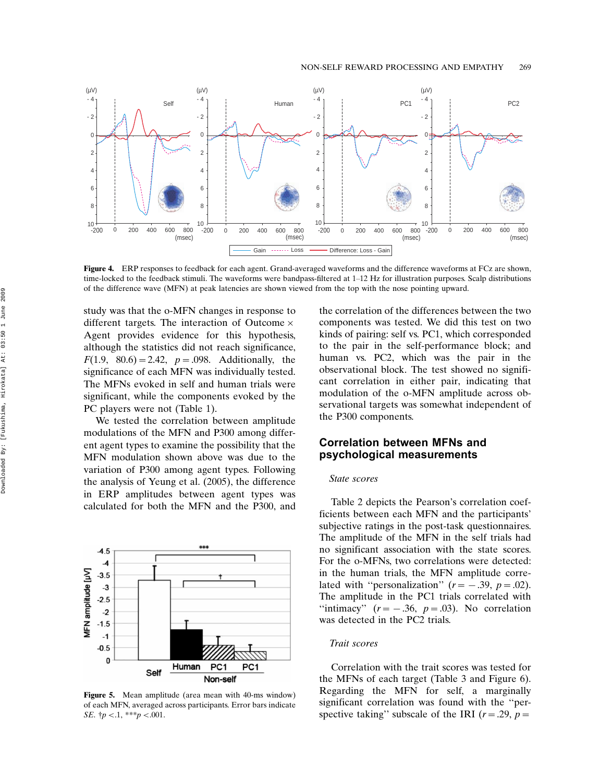

Figure 4. ERP responses to feedback for each agent. Grand-averaged waveforms and the difference waveforms at FCz are shown, time-locked to the feedback stimuli. The waveforms were bandpass-filtered at 1–12 Hz for illustration purposes. Scalp distributions of the difference wave (MFN) at peak latencies are shown viewed from the top with the nose pointing upward.

study was that the o-MFN changes in response to different targets. The interaction of Outcome  $\times$ Agent provides evidence for this hypothesis, although the statistics did not reach significance,  $F(1.9, 80.6) = 2.42$ ,  $p = .098$ . Additionally, the significance of each MFN was individually tested. The MFNs evoked in self and human trials were significant, while the components evoked by the PC players were not (Table 1).

We tested the correlation between amplitude modulations of the MFN and P300 among different agent types to examine the possibility that the MFN modulation shown above was due to the variation of P300 among agent types. Following the analysis of Yeung et al. (2005), the difference in ERP amplitudes between agent types was calculated for both the MFN and the P300, and



Figure 5. Mean amplitude (area mean with 40-ms window) of each MFN, averaged across participants. Error bars indicate SE.  $\uparrow p < 1, **p < 0.01$ .

the correlation of the differences between the two components was tested. We did this test on two kinds of pairing: self vs. PC1, which corresponded to the pair in the self-performance block; and human vs. PC2, which was the pair in the observational block. The test showed no significant correlation in either pair, indicating that modulation of the o-MFN amplitude across observational targets was somewhat independent of the P300 components.

# Correlation between MFNs and psychological measurements

#### State scores

Table 2 depicts the Pearson's correlation coefficients between each MFN and the participants' subjective ratings in the post-task questionnaires. The amplitude of the MFN in the self trials had no significant association with the state scores. For the o-MFNs, two correlations were detected: in the human trials, the MFN amplitude correlated with "personalization"  $(r = -.39, p = .02)$ . The amplitude in the PC1 trials correlated with "intimacy"  $(r = -.36, p = .03)$ . No correlation was detected in the PC2 trials.

#### Trait scores

Correlation with the trait scores was tested for the MFNs of each target (Table 3 and Figure 6). Regarding the MFN for self, a marginally significant correlation was found with the ''perspective taking" subscale of the IRI ( $r = .29$ ,  $p =$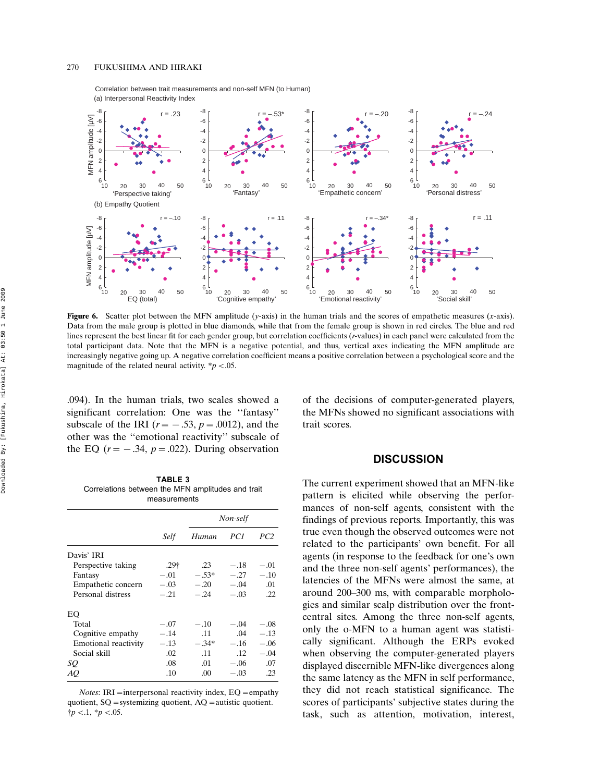Correlation between trait measurements and non-self MFN (to Human) (a) Interpersonal Reactivity Index



Figure 6. Scatter plot between the MFN amplitude (y-axis) in the human trials and the scores of empathetic measures  $(x$ -axis). Data from the male group is plotted in blue diamonds, while that from the female group is shown in red circles. The blue and red lines represent the best linear fit for each gender group, but correlation coefficients (r-values) in each panel were calculated from the total participant data. Note that the MFN is a negative potential, and thus, vertical axes indicating the MFN amplitude are increasingly negative going up. A negative correlation coefficient means a positive correlation between a psychological score and the magnitude of the related neural activity.  $**p* < 0.05$ .

.094). In the human trials, two scales showed a significant correlation: One was the ''fantasy'' subscale of the IRI ( $r = -.53$ ,  $p = .0012$ ), and the other was the ''emotional reactivity'' subscale of the EQ  $(r = -.34, p = .022)$ . During observation

TABLE 3 Correlations between the MFN amplitudes and trait measurements

|                      |        | Non-self |        |                 |
|----------------------|--------|----------|--------|-----------------|
|                      | Self   | Human    | PC1    | PC <sub>2</sub> |
| Davis' IRI           |        |          |        |                 |
| Perspective taking   | $.29+$ | .23      | $-.18$ | $-.01$          |
| Fantasy              | $-.01$ | $-.53*$  | $-.27$ | $-.10$          |
| Empathetic concern   | $-.03$ | $-.20$   | $-.04$ | .01             |
| Personal distress    | $-.21$ | $-.24$   | $-.03$ | .22             |
| EO                   |        |          |        |                 |
| Total                | $-.07$ | $-.10$   | $-.04$ | $-.08$          |
| Cognitive empathy    | $-.14$ | .11      | .04    | $-.13$          |
| Emotional reactivity | $-.13$ | $-.34*$  | $-.16$ | $-.06$          |
| Social skill         | .02    | .11      | .12    | $-.04$          |
| SQ                   | .08    | .01      | $-.06$ | .07             |
| AO                   | .10    | .00      | $-.03$ | .23             |

*Notes*: IRI = interpersonal reactivity index,  $EQ = \epsilon$  = empathy quotient,  $SQ = systemizing quotient$ ,  $AQ = autistic quotient$ .  $\dagger p < 1, \dagger p < 0.05.$ 

of the decisions of computer-generated players, the MFNs showed no significant associations with trait scores.

# **DISCUSSION**

The current experiment showed that an MFN-like pattern is elicited while observing the performances of non-self agents, consistent with the findings of previous reports. Importantly, this was true even though the observed outcomes were not related to the participants' own benefit. For all agents (in response to the feedback for one's own and the three non-self agents' performances), the latencies of the MFNs were almost the same, at around 200-300 ms, with comparable morphologies and similar scalp distribution over the frontcentral sites. Among the three non-self agents, only the o-MFN to a human agent was statistically significant. Although the ERPs evoked when observing the computer-generated players displayed discernible MFN-like divergences along the same latency as the MFN in self performance, they did not reach statistical significance. The scores of participants' subjective states during the task, such as attention, motivation, interest,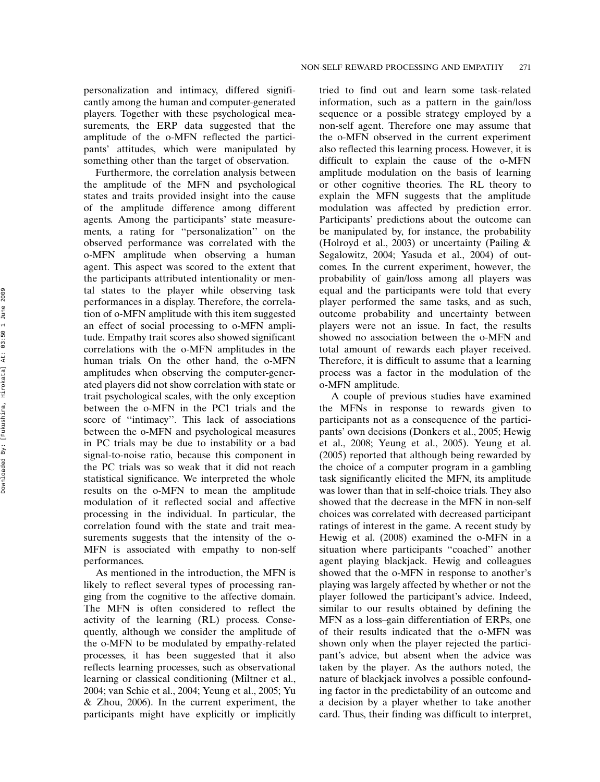personalization and intimacy, differed significantly among the human and computer-generated players. Together with these psychological measurements, the ERP data suggested that the amplitude of the o-MFN reflected the participants' attitudes, which were manipulated by something other than the target of observation.

Furthermore, the correlation analysis between the amplitude of the MFN and psychological states and traits provided insight into the cause of the amplitude difference among different agents. Among the participants' state measurements, a rating for ''personalization'' on the observed performance was correlated with the o-MFN amplitude when observing a human agent. This aspect was scored to the extent that the participants attributed intentionality or mental states to the player while observing task performances in a display. Therefore, the correlation of o-MFN amplitude with this item suggested an effect of social processing to o-MFN amplitude. Empathy trait scores also showed significant correlations with the o-MFN amplitudes in the human trials. On the other hand, the o-MFN amplitudes when observing the computer-generated players did not show correlation with state or trait psychological scales, with the only exception between the o-MFN in the PC1 trials and the score of ''intimacy''. This lack of associations between the o-MFN and psychological measures in PC trials may be due to instability or a bad signal-to-noise ratio, because this component in the PC trials was so weak that it did not reach statistical significance. We interpreted the whole results on the o-MFN to mean the amplitude modulation of it reflected social and affective processing in the individual. In particular, the correlation found with the state and trait measurements suggests that the intensity of the o-MFN is associated with empathy to non-self performances.

As mentioned in the introduction, the MFN is likely to reflect several types of processing ranging from the cognitive to the affective domain. The MFN is often considered to reflect the activity of the learning (RL) process. Consequently, although we consider the amplitude of the o-MFN to be modulated by empathy-related processes, it has been suggested that it also reflects learning processes, such as observational learning or classical conditioning (Miltner et al., 2004; van Schie et al., 2004; Yeung et al., 2005; Yu & Zhou, 2006). In the current experiment, the participants might have explicitly or implicitly

tried to find out and learn some task-related information, such as a pattern in the gain/loss sequence or a possible strategy employed by a non-self agent. Therefore one may assume that the o-MFN observed in the current experiment also reflected this learning process. However, it is difficult to explain the cause of the o-MFN amplitude modulation on the basis of learning or other cognitive theories. The RL theory to explain the MFN suggests that the amplitude modulation was affected by prediction error. Participants' predictions about the outcome can be manipulated by, for instance, the probability (Holroyd et al., 2003) or uncertainty (Pailing & Segalowitz, 2004; Yasuda et al., 2004) of outcomes. In the current experiment, however, the probability of gain/loss among all players was equal and the participants were told that every player performed the same tasks, and as such, outcome probability and uncertainty between players were not an issue. In fact, the results showed no association between the o-MFN and total amount of rewards each player received. Therefore, it is difficult to assume that a learning process was a factor in the modulation of the o-MFN amplitude.

A couple of previous studies have examined the MFNs in response to rewards given to participants not as a consequence of the participants' own decisions (Donkers et al., 2005; Hewig et al., 2008; Yeung et al., 2005). Yeung et al. (2005) reported that although being rewarded by the choice of a computer program in a gambling task significantly elicited the MFN, its amplitude was lower than that in self-choice trials. They also showed that the decrease in the MFN in non-self choices was correlated with decreased participant ratings of interest in the game. A recent study by Hewig et al. (2008) examined the o-MFN in a situation where participants ''coached'' another agent playing blackjack. Hewig and colleagues showed that the o-MFN in response to another's playing was largely affected by whether or not the player followed the participant's advice. Indeed, similar to our results obtained by defining the MFN as a loss-gain differentiation of ERPs, one of their results indicated that the o-MFN was shown only when the player rejected the participant's advice, but absent when the advice was taken by the player. As the authors noted, the nature of blackjack involves a possible confounding factor in the predictability of an outcome and a decision by a player whether to take another card. Thus, their finding was difficult to interpret,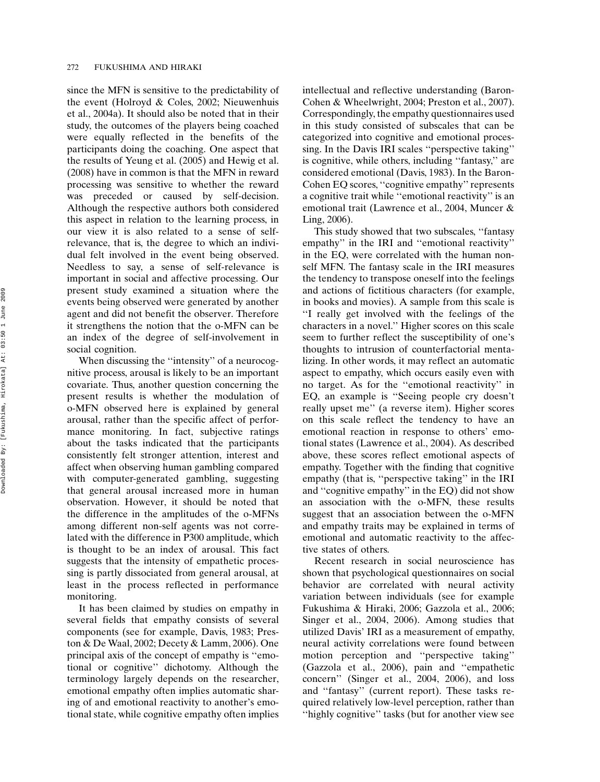since the MFN is sensitive to the predictability of the event (Holroyd & Coles, 2002; Nieuwenhuis et al., 2004a). It should also be noted that in their study, the outcomes of the players being coached were equally reflected in the benefits of the participants doing the coaching. One aspect that the results of Yeung et al. (2005) and Hewig et al. (2008) have in common is that the MFN in reward processing was sensitive to whether the reward was preceded or caused by self-decision. Although the respective authors both considered this aspect in relation to the learning process, in our view it is also related to a sense of selfrelevance, that is, the degree to which an individual felt involved in the event being observed. Needless to say, a sense of self-relevance is important in social and affective processing. Our present study examined a situation where the events being observed were generated by another agent and did not benefit the observer. Therefore it strengthens the notion that the o-MFN can be an index of the degree of self-involvement in social cognition.

When discussing the ''intensity'' of a neurocognitive process, arousal is likely to be an important covariate. Thus, another question concerning the present results is whether the modulation of o-MFN observed here is explained by general arousal, rather than the specific affect of performance monitoring. In fact, subjective ratings about the tasks indicated that the participants consistently felt stronger attention, interest and affect when observing human gambling compared with computer-generated gambling, suggesting that general arousal increased more in human observation. However, it should be noted that the difference in the amplitudes of the o-MFNs among different non-self agents was not correlated with the difference in P300 amplitude, which is thought to be an index of arousal. This fact suggests that the intensity of empathetic processing is partly dissociated from general arousal, at least in the process reflected in performance monitoring.

It has been claimed by studies on empathy in several fields that empathy consists of several components (see for example, Davis, 1983; Preston & De Waal, 2002; Decety & Lamm, 2006). One principal axis of the concept of empathy is ''emotional or cognitive'' dichotomy. Although the terminology largely depends on the researcher, emotional empathy often implies automatic sharing of and emotional reactivity to another's emotional state, while cognitive empathy often implies intellectual and reflective understanding (Baron-Cohen & Wheelwright, 2004; Preston et al., 2007). Correspondingly, the empathy questionnaires used in this study consisted of subscales that can be categorized into cognitive and emotional processing. In the Davis IRI scales ''perspective taking'' is cognitive, while others, including ''fantasy,'' are considered emotional (Davis, 1983). In the Baron-Cohen EQ scores, ''cognitive empathy'' represents a cognitive trait while ''emotional reactivity'' is an emotional trait (Lawrence et al., 2004, Muncer & Ling, 2006).

This study showed that two subscales, ''fantasy empathy'' in the IRI and ''emotional reactivity'' in the EQ, were correlated with the human nonself MFN. The fantasy scale in the IRI measures the tendency to transpose oneself into the feelings and actions of fictitious characters (for example, in books and movies). A sample from this scale is ''I really get involved with the feelings of the characters in a novel.'' Higher scores on this scale seem to further reflect the susceptibility of one's thoughts to intrusion of counterfactorial mentalizing. In other words, it may reflect an automatic aspect to empathy, which occurs easily even with no target. As for the ''emotional reactivity'' in EQ, an example is ''Seeing people cry doesn't really upset me'' (a reverse item). Higher scores on this scale reflect the tendency to have an emotional reaction in response to others' emotional states (Lawrence et al., 2004). As described above, these scores reflect emotional aspects of empathy. Together with the finding that cognitive empathy (that is, ''perspective taking'' in the IRI and ''cognitive empathy'' in the EQ) did not show an association with the o-MFN, these results suggest that an association between the o-MFN and empathy traits may be explained in terms of emotional and automatic reactivity to the affective states of others.

Recent research in social neuroscience has shown that psychological questionnaires on social behavior are correlated with neural activity variation between individuals (see for example Fukushima & Hiraki, 2006; Gazzola et al., 2006; Singer et al., 2004, 2006). Among studies that utilized Davis' IRI as a measurement of empathy, neural activity correlations were found between motion perception and ''perspective taking'' (Gazzola et al., 2006), pain and ''empathetic concern'' (Singer et al., 2004, 2006), and loss and ''fantasy'' (current report). These tasks required relatively low-level perception, rather than "highly cognitive" tasks (but for another view see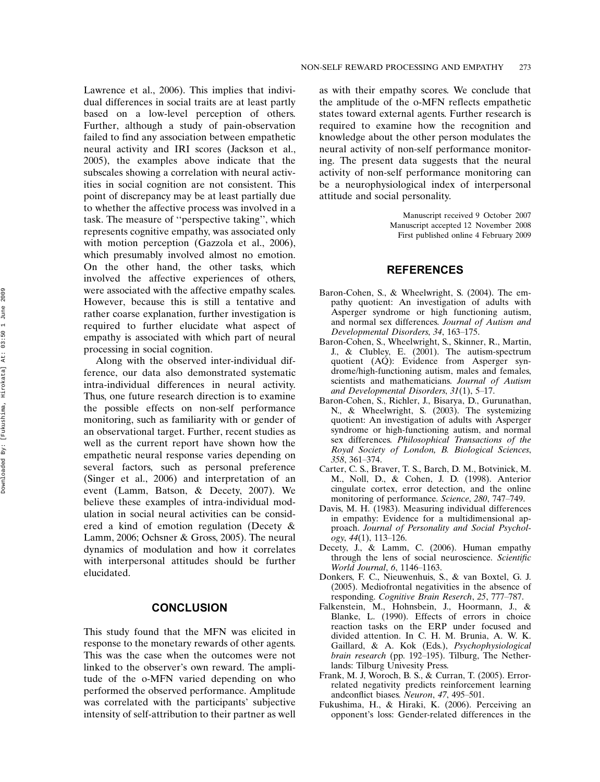Lawrence et al., 2006). This implies that individual differences in social traits are at least partly based on a low-level perception of others. Further, although a study of pain-observation failed to find any association between empathetic neural activity and IRI scores (Jackson et al., 2005), the examples above indicate that the subscales showing a correlation with neural activities in social cognition are not consistent. This point of discrepancy may be at least partially due to whether the affective process was involved in a task. The measure of ''perspective taking'', which represents cognitive empathy, was associated only with motion perception (Gazzola et al., 2006), which presumably involved almost no emotion. On the other hand, the other tasks, which involved the affective experiences of others, were associated with the affective empathy scales. However, because this is still a tentative and rather coarse explanation, further investigation is required to further elucidate what aspect of empathy is associated with which part of neural processing in social cognition.

Along with the observed inter-individual difference, our data also demonstrated systematic intra-individual differences in neural activity. Thus, one future research direction is to examine the possible effects on non-self performance monitoring, such as familiarity with or gender of an observational target. Further, recent studies as well as the current report have shown how the empathetic neural response varies depending on several factors, such as personal preference (Singer et al., 2006) and interpretation of an event (Lamm, Batson, & Decety, 2007). We believe these examples of intra-individual modulation in social neural activities can be considered a kind of emotion regulation (Decety & Lamm, 2006; Ochsner & Gross, 2005). The neural dynamics of modulation and how it correlates with interpersonal attitudes should be further elucidated.

# **CONCLUSION**

This study found that the MFN was elicited in response to the monetary rewards of other agents. This was the case when the outcomes were not linked to the observer's own reward. The amplitude of the o-MFN varied depending on who performed the observed performance. Amplitude was correlated with the participants' subjective intensity of self-attribution to their partner as well as with their empathy scores. We conclude that the amplitude of the o-MFN reflects empathetic states toward external agents. Further research is required to examine how the recognition and knowledge about the other person modulates the neural activity of non-self performance monitoring. The present data suggests that the neural activity of non-self performance monitoring can be a neurophysiological index of interpersonal attitude and social personality.

> Manuscript received 9 October 2007 Manuscript accepted 12 November 2008 First published online 4 February 2009

# REFERENCES

- Baron-Cohen, S., & Wheelwright, S. (2004). The empathy quotient: An investigation of adults with Asperger syndrome or high functioning autism, and normal sex differences. Journal of Autism and Developmental Disorders, 34, 163-175.
- Baron-Cohen, S., Wheelwright, S., Skinner, R., Martin, J., & Clubley, E. (2001). The autism-spectrum quotient (AQ): Evidence from Asperger syndrome/high-functioning autism, males and females, scientists and mathematicians. Journal of Autism and Developmental Disorders,  $31(1)$ ,  $5-17$ .
- Baron-Cohen, S., Richler, J., Bisarya, D., Gurunathan, N., & Wheelwright, S. (2003). The systemizing quotient: An investigation of adults with Asperger syndrome or high-functioning autism, and normal sex differences. Philosophical Transactions of the Royal Society of London, B. Biological Sciences, 358, 361-374.
- Carter, C. S., Braver, T. S., Barch, D. M., Botvinick, M. M., Noll, D., & Cohen, J. D. (1998). Anterior cingulate cortex, error detection, and the online monitoring of performance. Science, 280, 747-749.
- Davis, M. H. (1983). Measuring individual differences in empathy: Evidence for a multidimensional approach. Journal of Personality and Social Psychol $ogy, 44(1), 113-126.$
- Decety, J., & Lamm, C. (2006). Human empathy through the lens of social neuroscience. Scientific World Journal, 6, 1146-1163.
- Donkers, F. C., Nieuwenhuis, S., & van Boxtel, G. J. (2005). Mediofrontal negativities in the absence of responding. Cognitive Brain Reserch, 25, 777-787.
- Falkenstein, M., Hohnsbein, J., Hoormann, J., & Blanke, L. (1990). Effects of errors in choice reaction tasks on the ERP under focused and divided attention. In C. H. M. Brunia, A. W. K. Gaillard, & A. Kok (Eds.), Psychophysiological brain research (pp. 192–195). Tilburg, The Netherlands: Tilburg Univesity Press.
- Frank, M. J, Woroch, B. S., & Curran, T. (2005). Errorrelated negativity predicts reinforcement learning andconflict biases. Neuron, 47, 495–501.
- Fukushima, H., & Hiraki, K. (2006). Perceiving an opponent's loss: Gender-related differences in the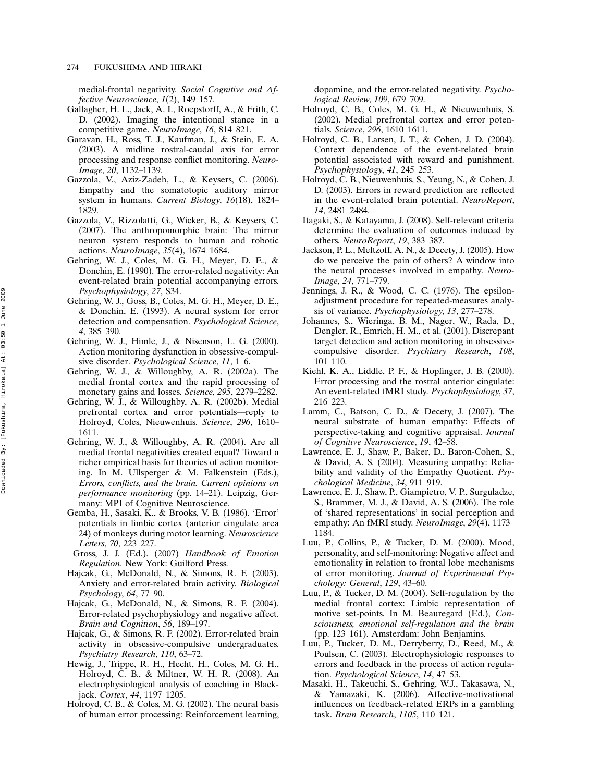medial-frontal negativity. Social Cognitive and Affective Neuroscience,  $1(2)$ , 149-157.

- Gallagher, H. L., Jack, A. I., Roepstorff, A., & Frith, C. D. (2002). Imaging the intentional stance in a competitive game. NeuroImage, 16, 814-821.
- Garavan, H., Ross, T. J., Kaufman, J., & Stein, E. A. (2003). A midline rostral-caudal axis for error processing and response conflict monitoring. Neuro-Image, 20, 1132-1139.
- Gazzola, V., Aziz-Zadeh, L., & Keysers, C. (2006). Empathy and the somatotopic auditory mirror system in humans. Current Biology, 16(18), 1824 1829.
- Gazzola, V., Rizzolatti, G., Wicker, B., & Keysers, C. (2007). The anthropomorphic brain: The mirror neuron system responds to human and robotic actions. NeuroImage, 35(4), 1674-1684.
- Gehring, W. J., Coles, M. G. H., Meyer, D. E., & Donchin, E. (1990). The error-related negativity: An event-related brain potential accompanying errors. Psychophysiology, 27, S34.
- Gehring, W. J., Goss, B., Coles, M. G. H., Meyer, D. E., & Donchin, E. (1993). A neural system for error detection and compensation. Psychological Science,  $4, 385 - 390$
- Gehring, W. J., Himle, J., & Nisenson, L. G. (2000). Action monitoring dysfunction in obsessive-compulsive disorder. Psychological Science, 11, 1–6.
- Gehring, W. J., & Willoughby, A. R. (2002a). The medial frontal cortex and the rapid processing of monetary gains and losses. Science, 295, 2279-2282.
- Gehring, W. J., & Willoughby, A. R. (2002b). Medial prefrontal cortex and error potentials-reply to Holroyd, Coles, Nieuwenhuis. Science, 296, 1610 1611.
- Gehring, W. J., & Willoughby, A. R. (2004). Are all medial frontal negativities created equal? Toward a richer empirical basis for theories of action monitoring. In M. Ullsperger & M. Falkenstein (Eds.), Errors, conflicts, and the brain. Current opinions on performance monitoring (pp. 14-21). Leipzig, Germany: MPI of Cognitive Neuroscience.
- Gemba, H., Sasaki, K., & Brooks, V. B. (1986). 'Error' potentials in limbic cortex (anterior cingulate area 24) of monkeys during motor learning. Neuroscience Letters, 70, 223-227.
- Gross, J. J. (Ed.). (2007) Handbook of Emotion Regulation. New York: Guilford Press.
- Hajcak, G., McDonald, N., & Simons, R. F. (2003). Anxiety and error-related brain activity. Biological  $Psychology, 64, 77–90.$
- Hajcak, G., McDonald, N., & Simons, R. F. (2004). Error-related psychophysiology and negative affect. Brain and Cognition, 56, 189-197.
- Hajcak, G., & Simons, R. F. (2002). Error-related brain activity in obsessive-compulsive undergraduates. Psychiatry Research, 110, 63-72.
- Hewig, J., Trippe, R. H., Hecht, H., Coles, M. G. H., Holroyd, C. B., & Miltner, W. H. R. (2008). An electrophysiological analysis of coaching in Blackjack. Cortex, 44, 1197-1205.
- Holroyd, C. B., & Coles, M. G. (2002). The neural basis of human error processing: Reinforcement learning,

dopamine, and the error-related negativity. Psychological Review, 109, 679-709.

- Holroyd, C. B., Coles, M. G. H., & Nieuwenhuis, S. (2002). Medial prefrontal cortex and error potentials. Science, 296, 1610-1611.
- Holroyd, C. B., Larsen, J. T., & Cohen, J. D. (2004). Context dependence of the event-related brain potential associated with reward and punishment. Psychophysiology, 41, 245-253.
- Holroyd, C. B., Nieuwenhuis, S., Yeung, N., & Cohen, J. D. (2003). Errors in reward prediction are reflected in the event-related brain potential. NeuroReport, 14, 2481-2484.
- Itagaki, S., & Katayama, J. (2008). Self-relevant criteria determine the evaluation of outcomes induced by others. NeuroReport, 19, 383-387.
- Jackson, P. L., Meltzoff, A. N., & Decety, J. (2005). How do we perceive the pain of others? A window into the neural processes involved in empathy. Neuro-Image, 24, 771-779.
- Jennings, J. R., & Wood, C. C. (1976). The epsilonadjustment procedure for repeated-measures analysis of variance. Psychophysiology, 13, 277-278.
- Johannes, S., Wieringa, B. M., Nager, W., Rada, D., Dengler, R., Emrich, H. M., et al. (2001). Discrepant target detection and action monitoring in obsessivecompulsive disorder. Psychiatry Research, 108, 101-110.
- Kiehl, K. A., Liddle, P. F., & Hopfinger, J. B. (2000). Error processing and the rostral anterior cingulate: An event-related fMRI study. Psychophysiology, 37, 216-223.
- Lamm, C., Batson, C. D., & Decety, J. (2007). The neural substrate of human empathy: Effects of perspective-taking and cognitive appraisal. Journal of Cognitive Neuroscience, 19, 42-58.
- Lawrence, E. J., Shaw, P., Baker, D., Baron-Cohen, S., & David, A. S. (2004). Measuring empathy: Reliability and validity of the Empathy Quotient. Psychological Medicine, 34, 911-919.
- Lawrence, E. J., Shaw, P., Giampietro, V. P., Surguladze, S., Brammer, M. J., & David, A. S. (2006). The role of 'shared representations' in social perception and empathy: An fMRI study. NeuroImage, 29(4), 1173– 1184.
- Luu, P., Collins, P., & Tucker, D. M. (2000). Mood, personality, and self-monitoring: Negative affect and emotionality in relation to frontal lobe mechanisms of error monitoring. Journal of Experimental Psychology: General, 129, 43-60.
- Luu, P., & Tucker, D. M. (2004). Self-regulation by the medial frontal cortex: Limbic representation of motive set-points. In M. Beauregard (Ed.), Consciousness, emotional self-regulation and the brain (pp. 123-161). Amsterdam: John Benjamins.
- Luu, P., Tucker, D. M., Derryberry, D., Reed, M., & Poulsen, C. (2003). Electrophysiologic responses to errors and feedback in the process of action regulation. Psychological Science, 14, 47-53.
- Masaki, H., Takeuchi, S., Gehring, W.J., Takasawa, N., & Yamazaki, K. (2006). Affective-motivational influences on feedback-related ERPs in a gambling task. Brain Research, 1105, 110-121.